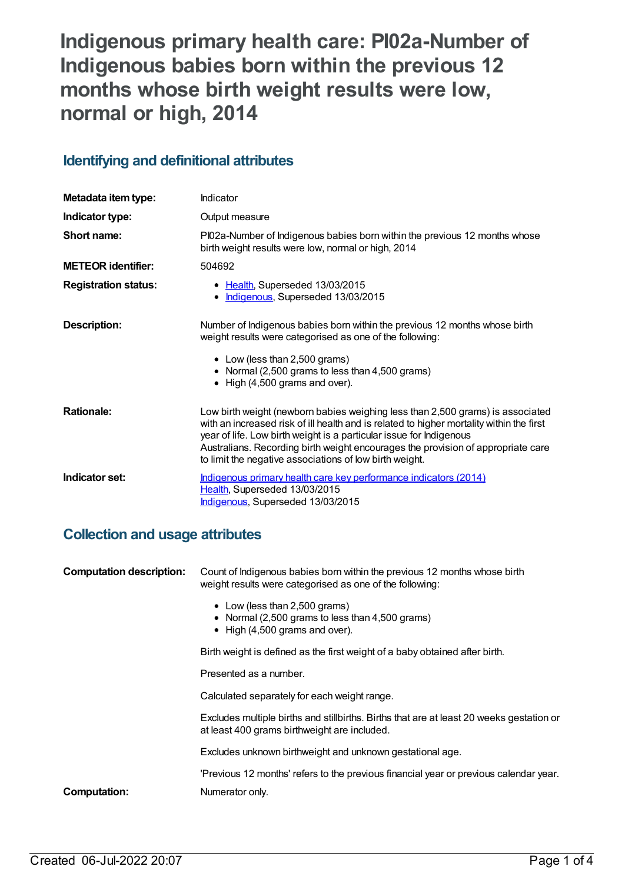# **Indigenous primary health care: PI02a-Number of Indigenous babies born within the previous 12 months whose birth weight results were low, normal or high, 2014**

## **Identifying and definitional attributes**

| Metadata item type:         | Indicator                                                                                                                                                                                                                                                                                                                                                                                        |
|-----------------------------|--------------------------------------------------------------------------------------------------------------------------------------------------------------------------------------------------------------------------------------------------------------------------------------------------------------------------------------------------------------------------------------------------|
| Indicator type:             | Output measure                                                                                                                                                                                                                                                                                                                                                                                   |
| Short name:                 | PI02a-Number of Indigenous babies born within the previous 12 months whose<br>birth weight results were low, normal or high, 2014                                                                                                                                                                                                                                                                |
| <b>METEOR identifier:</b>   | 504692                                                                                                                                                                                                                                                                                                                                                                                           |
| <b>Registration status:</b> | • Health, Superseded 13/03/2015<br>Indigenous, Superseded 13/03/2015<br>٠                                                                                                                                                                                                                                                                                                                        |
| Description:                | Number of Indigenous babies born within the previous 12 months whose birth<br>weight results were categorised as one of the following:<br>• Low (less than 2,500 grams)<br>• Normal (2,500 grams to less than 4,500 grams)<br>• High (4,500 grams and over).                                                                                                                                     |
| <b>Rationale:</b>           | Low birth weight (newborn babies weighing less than 2,500 grams) is associated<br>with an increased risk of ill health and is related to higher mortality within the first<br>year of life. Low birth weight is a particular issue for Indigenous<br>Australians. Recording birth weight encourages the provision of appropriate care<br>to limit the negative associations of low birth weight. |
| Indicator set:              | Indigenous primary health care key performance indicators (2014)<br>Health, Superseded 13/03/2015<br>Indigenous, Superseded 13/03/2015                                                                                                                                                                                                                                                           |

## **Collection and usage attributes**

| <b>Computation description:</b> | Count of Indigenous babies born within the previous 12 months whose birth<br>weight results were categorised as one of the following:    |  |
|---------------------------------|------------------------------------------------------------------------------------------------------------------------------------------|--|
|                                 | • Low (less than 2,500 grams)<br>• Normal (2,500 grams to less than 4,500 grams)<br>$\bullet$ High (4,500 grams and over).               |  |
|                                 | Birth weight is defined as the first weight of a baby obtained after birth.                                                              |  |
|                                 | Presented as a number.                                                                                                                   |  |
|                                 | Calculated separately for each weight range.                                                                                             |  |
|                                 | Excludes multiple births and stillbirths. Births that are at least 20 weeks gestation or<br>at least 400 grams birthweight are included. |  |
|                                 | Excludes unknown birthweight and unknown gestational age.                                                                                |  |
|                                 | 'Previous 12 months' refers to the previous financial year or previous calendar year.                                                    |  |
| <b>Computation:</b>             | Numerator only.                                                                                                                          |  |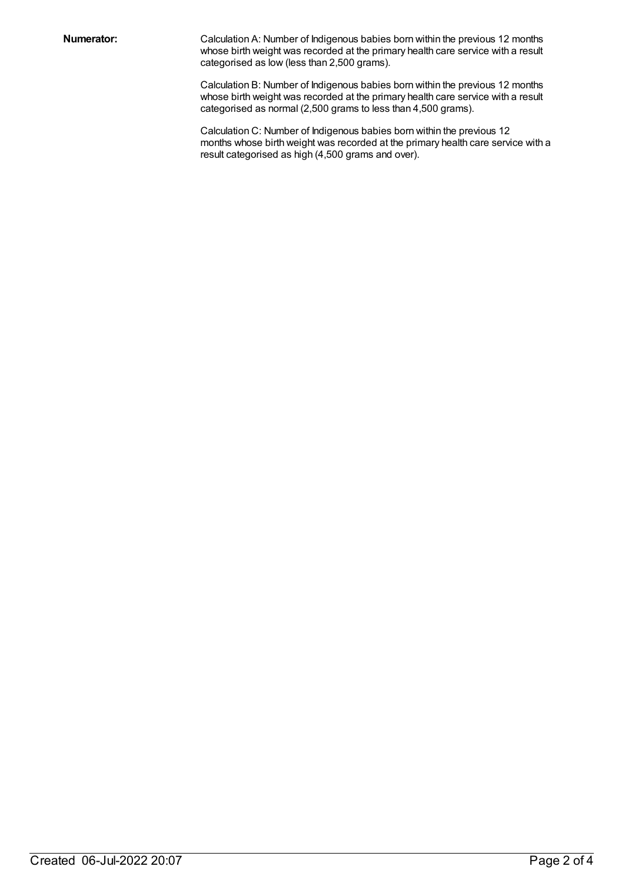**Numerator:** Calculation A: Number of Indigenous babies born within the previous 12 months whose birth weight was recorded at the primary health care service with a result categorised as low (less than 2,500 grams).

> Calculation B: Number of Indigenous babies born within the previous 12 months whose birth weight was recorded at the primary health care service with a result categorised as normal (2,500 grams to less than 4,500 grams).

Calculation C: Number of Indigenous babies born within the previous 12 months whose birth weight was recorded at the primary health care service with a result categorised as high (4,500 grams and over).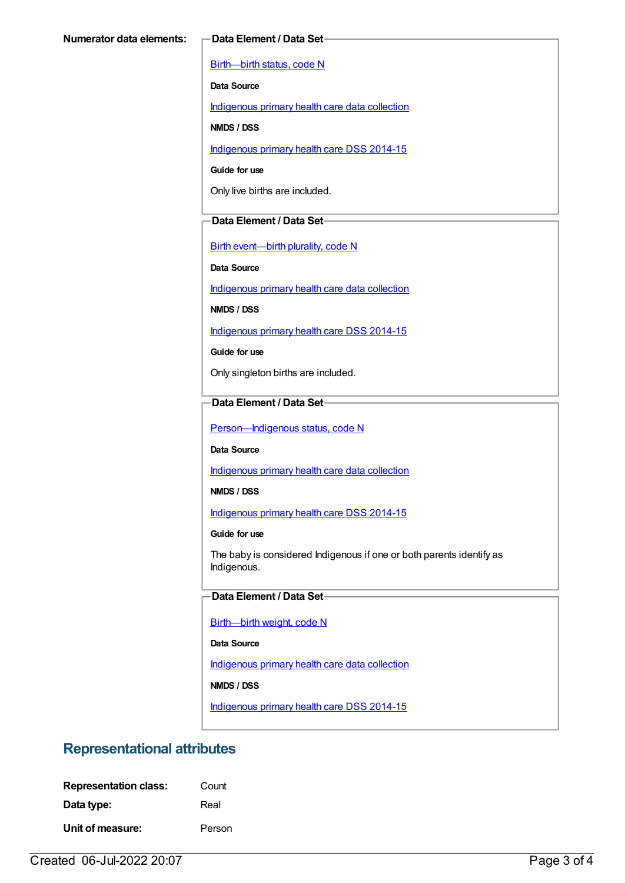[Birth—birth](https://meteor.aihw.gov.au/content/269949) status, code N

**Data Source**

[Indigenous](https://meteor.aihw.gov.au/content/430643) primary health care data collection

**NMDS / DSS**

[Indigenous](https://meteor.aihw.gov.au/content/504325) primary health care DSS 2014-15

**Guide for use**

Only live births are included.

### **Data Element / Data Set**

Birth [event—birth](https://meteor.aihw.gov.au/content/269994) plurality, code N

**Data Source**

[Indigenous](https://meteor.aihw.gov.au/content/430643) primary health care data collection

**NMDS / DSS**

[Indigenous](https://meteor.aihw.gov.au/content/504325) primary health care DSS 2014-15

**Guide for use**

Only singleton births are included.

#### **Data Element / Data Set**

Person-Indigenous status, code N

**Data Source**

[Indigenous](https://meteor.aihw.gov.au/content/430643) primary health care data collection

**NMDS / DSS**

[Indigenous](https://meteor.aihw.gov.au/content/504325) primary health care DSS 2014-15

**Guide for use**

The baby is considered Indigenous if one or both parents identify as Indigenous.

#### **Data Element / Data Set**

[Birth—birth](https://meteor.aihw.gov.au/content/459938) weight, code N

**Data Source**

[Indigenous](https://meteor.aihw.gov.au/content/430643) primary health care data collection

**NMDS / DSS**

[Indigenous](https://meteor.aihw.gov.au/content/504325) primary health care DSS 2014-15

## **Representational attributes**

| <b>Representation class:</b> | Count  |
|------------------------------|--------|
| Data type:                   | Real   |
| Unit of measure:             | Person |